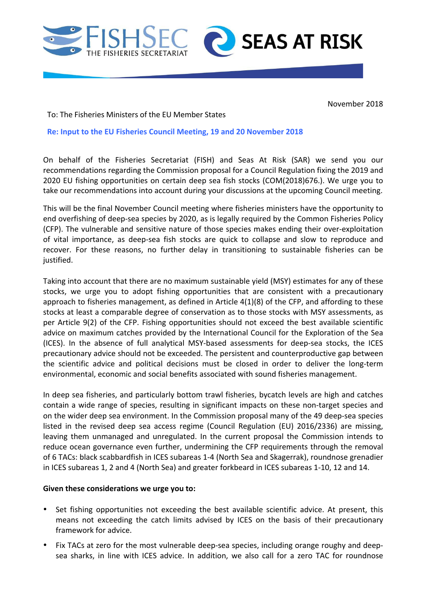



November 2018

To: The Fisheries Ministers of the EU Member States

## **Re: Input to the EU Fisheries Council Meeting, 19 and 20 November 2018**

On behalf of the Fisheries Secretariat (FISH) and Seas At Risk (SAR) we send you our recommendations regarding the Commission proposal for a Council Regulation fixing the 2019 and 2020 EU fishing opportunities on certain deep sea fish stocks (COM(2018)676.). We urge you to take our recommendations into account during your discussions at the upcoming Council meeting.

This will be the final November Council meeting where fisheries ministers have the opportunity to end overfishing of deep-sea species by 2020, as is legally required by the Common Fisheries Policy (CFP). The vulnerable and sensitive nature of those species makes ending their over-exploitation of vital importance, as deep-sea fish stocks are quick to collapse and slow to reproduce and recover. For these reasons, no further delay in transitioning to sustainable fisheries can be justified. 

Taking into account that there are no maximum sustainable yield (MSY) estimates for any of these stocks, we urge you to adopt fishing opportunities that are consistent with a precautionary approach to fisheries management, as defined in Article  $4(1)(8)$  of the CFP, and affording to these stocks at least a comparable degree of conservation as to those stocks with MSY assessments, as per Article 9(2) of the CFP. Fishing opportunities should not exceed the best available scientific advice on maximum catches provided by the International Council for the Exploration of the Sea (ICES). In the absence of full analytical MSY-based assessments for deep-sea stocks, the ICES precautionary advice should not be exceeded. The persistent and counterproductive gap between the scientific advice and political decisions must be closed in order to deliver the long-term environmental, economic and social benefits associated with sound fisheries management.

In deep sea fisheries, and particularly bottom trawl fisheries, bycatch levels are high and catches contain a wide range of species, resulting in significant impacts on these non-target species and on the wider deep sea environment. In the Commission proposal many of the 49 deep-sea species listed in the revised deep sea access regime (Council Regulation (EU) 2016/2336) are missing, leaving them unmanaged and unregulated. In the current proposal the Commission intends to reduce ocean governance even further, undermining the CFP requirements through the removal of 6 TACs: black scabbardfish in ICES subareas 1-4 (North Sea and Skagerrak), roundnose grenadier in ICES subareas 1, 2 and 4 (North Sea) and greater forkbeard in ICES subareas 1-10, 12 and 14.

## Given these considerations we urge you to:

- Set fishing opportunities not exceeding the best available scientific advice. At present, this means not exceeding the catch limits advised by ICES on the basis of their precautionary framework for advice.
- Fix TACs at zero for the most vulnerable deep-sea species, including orange roughy and deepsea sharks, in line with ICES advice. In addition, we also call for a zero TAC for roundnose